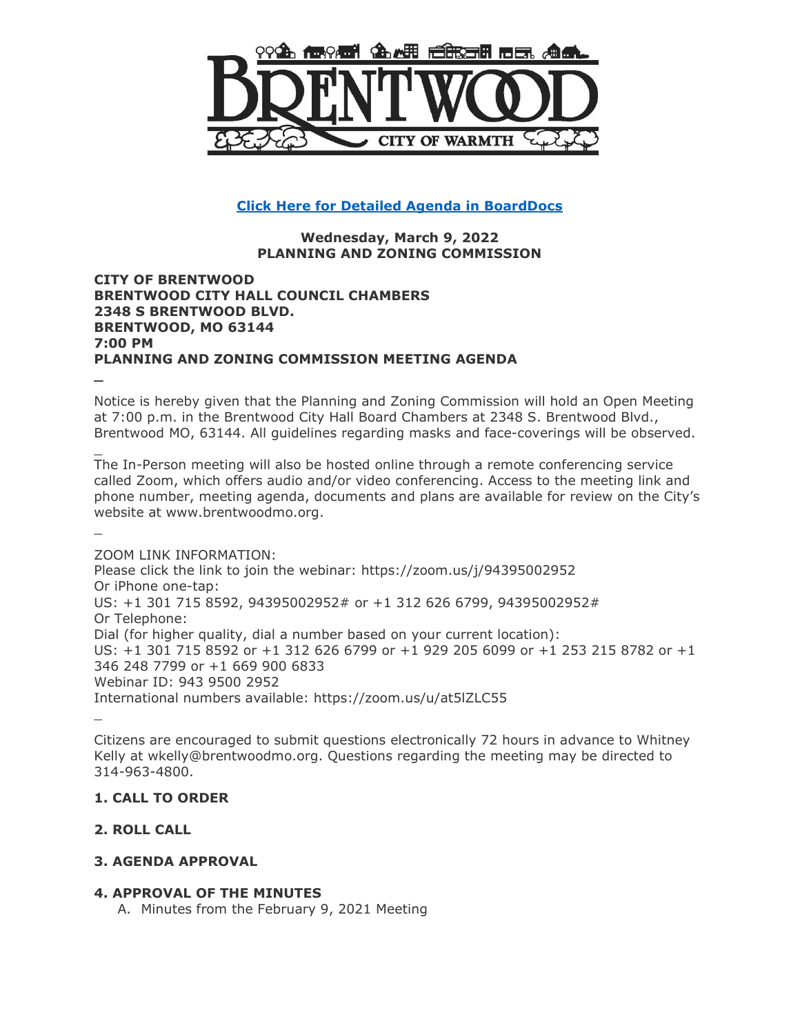

# **[Click Here for Detailed Agenda in BoardDocs](http://go.boarddocs.com/mo/cob/Board.nsf/goto?open&id=CAVLW357C25D)**

## **Wednesday, March 9, 2022 PLANNING AND ZONING COMMISSION**

## **CITY OF BRENTWOOD BRENTWOOD CITY HALL COUNCIL CHAMBERS 2348 S BRENTWOOD BLVD. BRENTWOOD, MO 63144 7:00 PM PLANNING AND ZONING COMMISSION MEETING AGENDA**

Notice is hereby given that the Planning and Zoning Commission will hold an Open Meeting at 7:00 p.m. in the Brentwood City Hall Board Chambers at 2348 S. Brentwood Blvd., Brentwood MO, 63144. All guidelines regarding masks and face-coverings will be observed.

\_ The In-Person meeting will also be hosted online through a remote conferencing service called Zoom, which offers audio and/or video conferencing. Access to the meeting link and phone number, meeting agenda, documents and plans are available for review on the City's website at www.brentwoodmo.org.

ZOOM LINK INFORMATION: Please click the link to join the webinar: https://zoom.us/j/94395002952 Or iPhone one-tap: US: +1 301 715 8592, 94395002952# or +1 312 626 6799, 94395002952# Or Telephone: Dial (for higher quality, dial a number based on your current location): US: +1 301 715 8592 or +1 312 626 6799 or +1 929 205 6099 or +1 253 215 8782 or +1 346 248 7799 or +1 669 900 6833 Webinar ID: 943 9500 2952 International numbers available: https://zoom.us/u/at5lZLC55

\_

**\_**

\_

Citizens are encouraged to submit questions electronically 72 hours in advance to Whitney Kelly at wkelly@brentwoodmo.org. Questions regarding the meeting may be directed to 314-963-4800.

## **1. CALL TO ORDER**

# **2. ROLL CALL**

# **3. AGENDA APPROVAL**

## **4. APPROVAL OF THE MINUTES**

A. Minutes from the February 9, 2021 Meeting